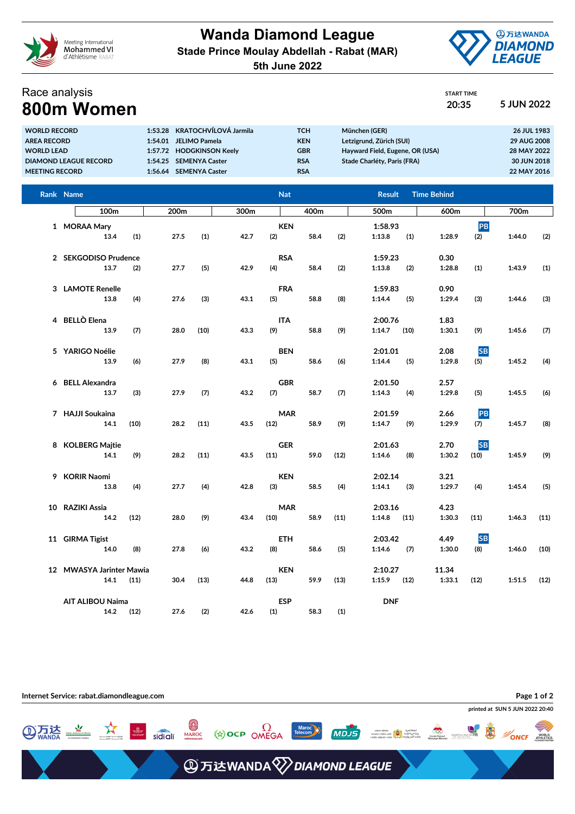

**Wanda Diamond League Stade Prince Moulay Abdellah - Rabat (MAR) 5th June 2022**



## Race analysis **800m Women 20:35 5 JUN 2022**

| 5 JUN |
|-------|
|       |

| <b>WORLD RECORD</b>          | 1:53.28 KRATOCHVÍLOVÁ Jarmila | тсн        | München (GER)                   | 26 JUL 1983        |
|------------------------------|-------------------------------|------------|---------------------------------|--------------------|
| <b>AREA RECORD</b>           | 1:54.01 JELIMO Pamela         | <b>KEN</b> | Letzigrund, Zürich (SUI)        | <b>29 AUG 2008</b> |
| <b>WORLD LEAD</b>            | 1:57.72 HODGKINSON Keelv      | <b>GBR</b> | Hayward Field, Eugene, OR (USA) | 28 MAY 2022        |
| <b>DIAMOND LEAGUE RECORD</b> | 1:54.25 SEMENYA Caster        | <b>RSA</b> | Stade Charléty, Paris (FRA)     | 30 JUN 2018        |
| <b>MEETING RECORD</b>        | 1:56.64 SEMENYA Caster        | <b>RSA</b> |                                 | 22 MAY 2016        |

|   | Rank Name                        |      |      |      |      | <b>Nat</b>         |      |      | <b>Result</b>             | <b>Time Behind</b> |                   |        |      |
|---|----------------------------------|------|------|------|------|--------------------|------|------|---------------------------|--------------------|-------------------|--------|------|
|   | 100 <sub>m</sub>                 |      | 200m |      | 300m |                    | 400m |      | 500m                      | 600m               |                   | 700m   |      |
|   | 1 MORAA Mary<br>13.4             | (1)  | 27.5 | (1)  | 42.7 | <b>KEN</b><br>(2)  | 58.4 | (2)  | 1:58.93<br>1:13.8<br>(1)  | 1:28.9             | PB<br>(2)         | 1:44.0 | (2)  |
|   | 2 SEKGODISO Prudence<br>13.7     | (2)  | 27.7 | (5)  | 42.9 | <b>RSA</b><br>(4)  | 58.4 | (2)  | 1:59.23<br>1:13.8<br>(2)  | 0.30<br>1:28.8     | (1)               | 1:43.9 | (1)  |
|   | 3 LAMOTE Renelle<br>13.8         | (4)  | 27.6 | (3)  | 43.1 | <b>FRA</b><br>(5)  | 58.8 | (8)  | 1:59.83<br>1:14.4<br>(5)  | 0.90<br>1:29.4     | (3)               | 1:44.6 | (3)  |
|   | 4 BELLÒ Elena<br>13.9            | (7)  | 28.0 | (10) | 43.3 | <b>ITA</b><br>(9)  | 58.8 | (9)  | 2:00.76<br>1:14.7<br>(10) | 1.83<br>1:30.1     | (9)               | 1:45.6 | (7)  |
|   | 5 YARIGO Noélie<br>13.9          | (6)  | 27.9 | (8)  | 43.1 | <b>BEN</b><br>(5)  | 58.6 | (6)  | 2:01.01<br>1:14.4<br>(5)  | 2.08<br>1:29.8     | <b>SB</b><br>(5)  | 1:45.2 | (4)  |
| 6 | <b>BELL Alexandra</b><br>13.7    | (3)  | 27.9 | (7)  | 43.2 | <b>GBR</b><br>(7)  | 58.7 | (7)  | 2:01.50<br>1:14.3<br>(4)  | 2.57<br>1:29.8     | (5)               | 1:45.5 | (6)  |
|   | 7 HAJJI Soukaina<br>14.1         | (10) | 28.2 | (11) | 43.5 | <b>MAR</b><br>(12) | 58.9 | (9)  | 2:01.59<br>1:14.7<br>(9)  | 2.66<br>1:29.9     | PB<br>(7)         | 1:45.7 | (8)  |
|   | 8 KOLBERG Majtie<br>14.1         | (9)  | 28.2 | (11) | 43.5 | <b>GER</b><br>(11) | 59.0 | (12) | 2:01.63<br>1:14.6<br>(8)  | 2.70<br>1:30.2     | <b>SB</b><br>(10) | 1:45.9 | (9)  |
|   | 9 KORIR Naomi<br>13.8            | (4)  | 27.7 | (4)  | 42.8 | <b>KEN</b><br>(3)  | 58.5 | (4)  | 2:02.14<br>1:14.1<br>(3)  | 3.21<br>1:29.7     | (4)               | 1:45.4 | (5)  |
|   | 10 RAZIKI Assia<br>14.2          | (12) | 28.0 | (9)  | 43.4 | <b>MAR</b><br>(10) | 58.9 | (11) | 2:03.16<br>1:14.8<br>(11) | 4.23<br>1:30.3     | (11)              | 1:46.3 | (11) |
|   | 11 GIRMA Tigist<br>14.0          | (8)  | 27.8 | (6)  | 43.2 | <b>ETH</b><br>(8)  | 58.6 | (5)  | 2:03.42<br>1:14.6<br>(7)  | 4.49<br>1:30.0     | <b>SB</b><br>(8)  | 1:46.0 | (10) |
|   | 12 MWASYA Jarinter Mawia<br>14.1 | (11) | 30.4 | (13) | 44.8 | <b>KEN</b><br>(13) | 59.9 | (13) | 2:10.27<br>1:15.9<br>(12) | 11.34<br>1:33.1    | (12)              | 1:51.5 | (12) |
|   | <b>AIT ALIBOU Naima</b><br>14.2  | (12) | 27.6 | (2)  | 42.6 | <b>ESP</b><br>(1)  | 58.3 | (1)  | <b>DNF</b>                |                    |                   |        |      |